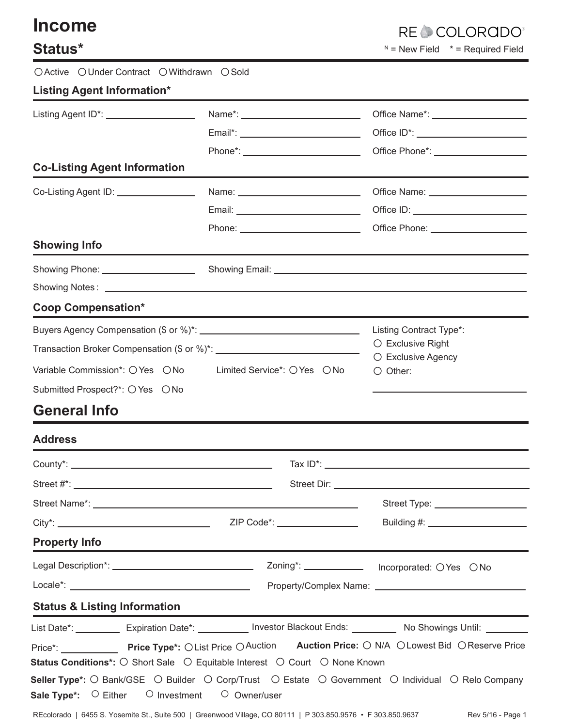| <b>Income</b>                                                           |                                                                                                                      | <b>RECCOLORGD</b>                                                                |  |
|-------------------------------------------------------------------------|----------------------------------------------------------------------------------------------------------------------|----------------------------------------------------------------------------------|--|
| Status*                                                                 | $N =$ New Field $* =$ Required Field                                                                                 |                                                                                  |  |
| OActive OUnder Contract OWithdrawn OSold                                |                                                                                                                      |                                                                                  |  |
| <b>Listing Agent Information*</b>                                       |                                                                                                                      |                                                                                  |  |
| Listing Agent ID*: ____________________                                 |                                                                                                                      |                                                                                  |  |
|                                                                         |                                                                                                                      |                                                                                  |  |
|                                                                         |                                                                                                                      | Phone*: _________________________________Office Phone*: ________________________ |  |
| <b>Co-Listing Agent Information</b>                                     |                                                                                                                      |                                                                                  |  |
| Co-Listing Agent ID: ________________                                   |                                                                                                                      |                                                                                  |  |
|                                                                         |                                                                                                                      |                                                                                  |  |
|                                                                         |                                                                                                                      |                                                                                  |  |
| <b>Showing Info</b>                                                     |                                                                                                                      |                                                                                  |  |
| Showing Phone: _____________________                                    |                                                                                                                      |                                                                                  |  |
|                                                                         |                                                                                                                      |                                                                                  |  |
| <b>Coop Compensation*</b>                                               |                                                                                                                      |                                                                                  |  |
|                                                                         |                                                                                                                      | Listing Contract Type*:                                                          |  |
|                                                                         | $\bigcirc$ Exclusive Right<br>○ Exclusive Agency                                                                     |                                                                                  |  |
| Variable Commission*: O Yes O No                                        | $\bigcirc$ Other:                                                                                                    |                                                                                  |  |
| Submitted Prospect?*: ○ Yes ○ No                                        |                                                                                                                      |                                                                                  |  |
| <b>General Info</b>                                                     |                                                                                                                      |                                                                                  |  |
| <b>Address</b>                                                          |                                                                                                                      |                                                                                  |  |
|                                                                         |                                                                                                                      |                                                                                  |  |
|                                                                         |                                                                                                                      |                                                                                  |  |
|                                                                         |                                                                                                                      | Street Type: ____________________                                                |  |
|                                                                         |                                                                                                                      |                                                                                  |  |
| <b>Property Info</b>                                                    |                                                                                                                      |                                                                                  |  |
|                                                                         |                                                                                                                      |                                                                                  |  |
|                                                                         |                                                                                                                      |                                                                                  |  |
| <b>Status &amp; Listing Information</b>                                 |                                                                                                                      |                                                                                  |  |
|                                                                         | List Date*: ___________ Expiration Date*: ___________ Investor Blackout Ends: __________ No Showings Until: ________ |                                                                                  |  |
|                                                                         | Price*: Price Type*: OList Price OAuction Auction Price: O N/A OLowest Bid OReserve Price                            |                                                                                  |  |
|                                                                         | Status Conditions*: ○ Short Sale ○ Equitable Interest ○ Court ○ None Known                                           |                                                                                  |  |
|                                                                         | Seller Type*: O Bank/GSE O Builder O Corp/Trust O Estate O Government O Individual O Relo Company                    |                                                                                  |  |
| <b>Sale Type*:</b> $\circ$ Either $\circ$ Investment $\circ$ Owner/user |                                                                                                                      |                                                                                  |  |

REcolorado | 6455 S. Yosemite St., Suite 500 | Greenwood Village, CO 80111 | P 303.850.9576 • F 303.850.9637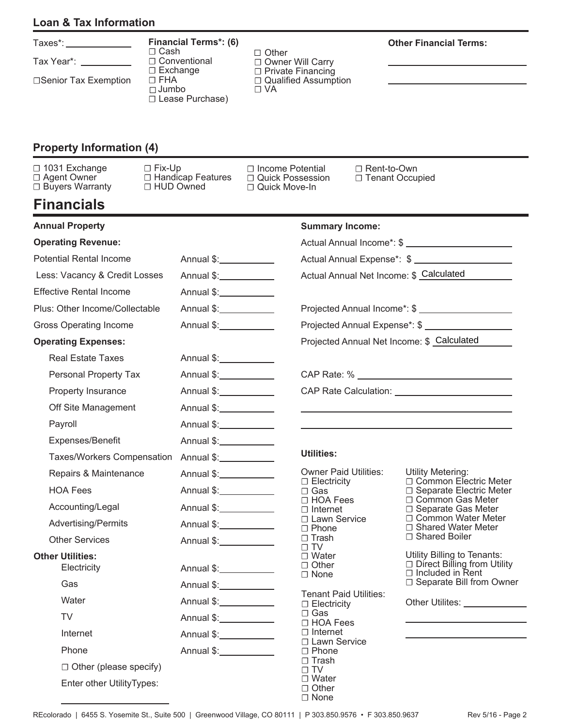### **Loan & Tax Information**

| axe: |  |  |
|------|--|--|
|      |  |  |

Tax Year\*:

□Senior Tax Exemption

#### **Financial Terms\*: (6)** Ƞ Cash Ƞ Conventional Ƞ Exchange  $\square$  FHA Jumbo □

□ Lease Purchase) □ Private Financing □ Qualified Assumption Ƞ VA

□ Other

□ Owner Will Carry

### **Other Financial Terms:**

**Property Information (4)**

Ƞ 1031 Exchange Ƞ Agent Owner □ Buyers Warranty

| <b>Financials</b>      |                     |
|------------------------|---------------------|
| $\Box$ Agent Owner     | □ Handicap Features |
| $\Box$ Buyers Warranty | $\Box$ HUD Owned    |

Ƞ Fix-Up

□ Income Potential □ Quick Possession □ Quick Move-In

Ƞ Rent-to-Own □ Tenant Occupied

| <b>Annual Property</b>                 |                          | <b>Summary Income:</b>                              |                                                                                              |
|----------------------------------------|--------------------------|-----------------------------------------------------|----------------------------------------------------------------------------------------------|
| <b>Operating Revenue:</b>              |                          |                                                     |                                                                                              |
| <b>Potential Rental Income</b>         | Annual \$:_____________  |                                                     | Actual Annual Expense*: \$ _______________________                                           |
| Less: Vacancy & Credit Losses          | Annual \$: ____________  | Actual Annual Net Income: \$ Calculated             |                                                                                              |
| <b>Effective Rental Income</b>         | Annual \$: ____________  |                                                     |                                                                                              |
| Plus: Other Income/Collectable         | Annual \$:_____________  |                                                     | Projected Annual Income*: \$ ______________________                                          |
| <b>Gross Operating Income</b>          | Annual \$: ____________  |                                                     |                                                                                              |
| <b>Operating Expenses:</b>             |                          | Projected Annual Net Income: \$ Calculated          |                                                                                              |
| <b>Real Estate Taxes</b>               | Annual \$:_____________  |                                                     |                                                                                              |
| Personal Property Tax                  | Annual \$: ____________  |                                                     |                                                                                              |
| Property Insurance                     | Annual \$: ____________  |                                                     |                                                                                              |
| Off Site Management                    | Annual \$: ____________  |                                                     |                                                                                              |
| Payroll                                | Annual \$: ____________  |                                                     |                                                                                              |
| Expenses/Benefit                       | Annual \$:______________ |                                                     |                                                                                              |
| Taxes/Workers Compensation             | Annual \$:___________    | <b>Utilities:</b>                                   |                                                                                              |
| Repairs & Maintenance                  | Annual \$:_____________  | <b>Owner Paid Utilities:</b>                        | <b>Utility Metering:</b>                                                                     |
| <b>HOA Fees</b>                        | Annual \$:_____________  | $\Box$ Electricity<br>$\Box$ Gas                    | □ Common Electric Meter<br>□ Separate Electric Meter                                         |
| Accounting/Legal                       | Annual \$: ____________  | $\Box$ HOA Fees<br>$\Box$ Internet                  | □ Common Gas Meter<br>$\Box$ Separate Gas Meter                                              |
| <b>Advertising/Permits</b>             | Annual \$: ____________  | □ Lawn Service<br>$\Box$ Phone                      | □ Common Water Meter<br>□ Shared Water Meter                                                 |
| <b>Other Services</b>                  | Annual \$: ____________  | $\Box$ Trash<br>$\Box$ TV                           | □ Shared Boiler                                                                              |
| <b>Other Utilities:</b><br>Electricity | Annual \$:____________   | $\Box$ Water<br>$\Box$ Other<br>$\Box$ None         | Utility Billing to Tenants:<br>$\Box$ Direct Billing from Utility<br>$\Box$ Included in Rent |
| Gas                                    | Annual \$: ____________  |                                                     | □ Separate Bill from Owner                                                                   |
| Water                                  | Annual \$: ____________  | <b>Tenant Paid Utilities:</b><br>$\Box$ Electricity | Other Utilites: National Assembly                                                            |
| TV I                                   |                          | $\Box$ Gas<br>□ HOA Fees                            |                                                                                              |
| Internet                               | Annual \$: ____________  | $\Box$ Internet<br>□ Lawn Service                   |                                                                                              |
| Phone                                  | Annual \$: ____________  | $\Box$ Phone                                        |                                                                                              |
| $\Box$ Other (please specify)          |                          | $\Box$ Trash<br>$\Box$ TV                           |                                                                                              |
| Enter other UtilityTypes:              |                          | $\Box$ Water<br>$\Box$ Other<br>$\Box$ None         |                                                                                              |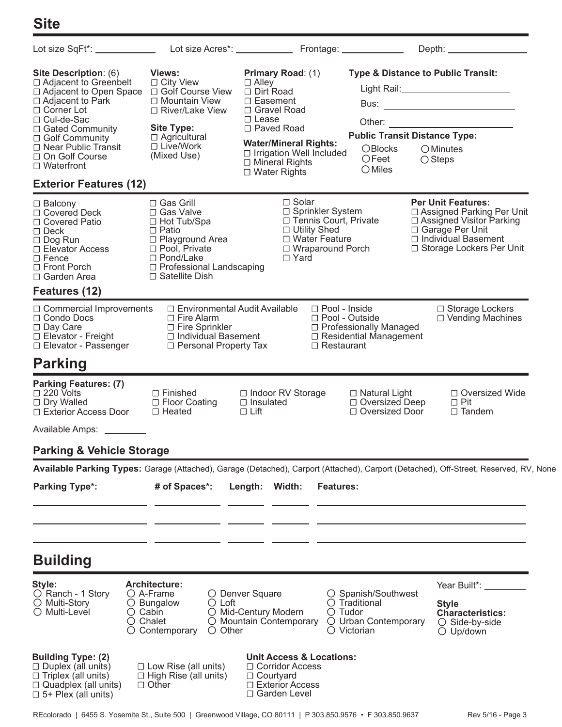# **Site**

|                                                                                                                                                                                                                                                                   |                                                                                                                                                                         |                                                                                                                                                                                                                                           |                                                                                                                               | Depth: __________________                                                                                                                                               |
|-------------------------------------------------------------------------------------------------------------------------------------------------------------------------------------------------------------------------------------------------------------------|-------------------------------------------------------------------------------------------------------------------------------------------------------------------------|-------------------------------------------------------------------------------------------------------------------------------------------------------------------------------------------------------------------------------------------|-------------------------------------------------------------------------------------------------------------------------------|-------------------------------------------------------------------------------------------------------------------------------------------------------------------------|
| Site Description: (6)<br>□ Adjacent to Greenbelt<br>$\Box$ Adjacent to Open Space<br>$\Box$ Adjacent to Park<br>$\Box$ Corner Lot<br>$\Box$ Cul-de-Sac<br>□ Gated Community<br>□ Golf Community<br>□ Near Public Transit<br>□ On Golf Course<br>$\Box$ Waterfront | Views:<br>$\Box$ City View<br>□ Golf Course View<br>□ Mountain View<br>$\Box$ River/Lake View<br><b>Site Type:</b><br>$\Box$ Agricultural<br>□ Live/Work<br>(Mixed Use) | <b>Primary Road: (1)</b><br>$\Box$ Alley<br>□ Dirt Road<br>$\Box$ Easement<br>□ Gravel Road<br>$\Box$ Lease<br>□ Paved Road<br><b>Water/Mineral Rights:</b><br>□ Irrigation Well Included<br>$\Box$ Mineral Rights<br>$\Box$ Water Rights | <b>Type &amp; Distance to Public Transit:</b><br><b>Public Transit Distance Type:</b><br>OBlocks<br>$\bigcirc$ Feet<br>OMiles | OMinutes<br>$\bigcirc$ Steps                                                                                                                                            |
| <b>Exterior Features (12)</b>                                                                                                                                                                                                                                     |                                                                                                                                                                         |                                                                                                                                                                                                                                           |                                                                                                                               |                                                                                                                                                                         |
| $\Box$ Balcony<br>□ Covered Deck<br>□ Covered Patio<br>$\Box$ Deck<br>$\Box$ Dog Run<br>□ Elevator Access<br>$\Box$ Fence<br>$\Box$ Front Porch<br>$\Box$ Garden Area                                                                                             | □ Gas Grill<br>□ Gas Valve<br>□ Hot Tub/Spa<br>$\Box$ Patio<br>□ Playground Area<br>□ Pool, Private<br>□ Pond/Lake<br>□ Professional Landscaping<br>□ Satellite Dish    | $\Box$ Solar<br>□ Sprinkler System<br>□ Tennis Court, Private<br>□ Utility Shed<br>□ Water Feature<br>□ Wraparound Porch<br>$\Box$ Yard                                                                                                   |                                                                                                                               | <b>Per Unit Features:</b><br>□ Assigned Parking Per Unit<br>□ Assigned Visitor Parking<br>□ Garage Per Unit<br>$\Box$ Individual Basement<br>□ Storage Lockers Per Unit |
| Features (12)                                                                                                                                                                                                                                                     |                                                                                                                                                                         |                                                                                                                                                                                                                                           |                                                                                                                               |                                                                                                                                                                         |
| $\Box$ Commercial Improvements<br>$\Box$ Condo Docs<br>$\Box$ Day Care<br>$\Box$ Elevator - Freight<br>□ Elevator - Passenger                                                                                                                                     | □ Environmental Audit Available<br>$\Box$ Fire Alarm<br>$\Box$ Fire Sprinkler<br>□ Individual Basement<br>□ Personal Property Tax                                       | □ Pool - Inside<br>$\Box$ Restaurant                                                                                                                                                                                                      | $\Box$ Pool - Outside<br>□ Professionally Managed<br>$\Box$ Residential Management                                            | □ Storage Lockers<br>□ Vending Machines                                                                                                                                 |
| <b>Parking</b>                                                                                                                                                                                                                                                    |                                                                                                                                                                         |                                                                                                                                                                                                                                           |                                                                                                                               |                                                                                                                                                                         |
| <b>Parking Features: (7)</b><br>$\Box$ 220 Volts<br>$\Box$ Dry Walled<br>□ Exterior Access Door                                                                                                                                                                   | $\Box$ Finished<br>□ Floor Coating<br>$\Box$ Heated                                                                                                                     | □ Indoor RV Storage<br>$\Box$ Insulated<br>$\Box$ Lift                                                                                                                                                                                    | $\Box$ Natural Light<br>$\Box$ Oversized Deep<br>□ Oversized Door                                                             | □ Oversized Wide<br>$\Box$ Pit<br>$\Box$ Tandem                                                                                                                         |
| Available Amps: _________                                                                                                                                                                                                                                         |                                                                                                                                                                         |                                                                                                                                                                                                                                           |                                                                                                                               |                                                                                                                                                                         |
| <b>Parking &amp; Vehicle Storage</b>                                                                                                                                                                                                                              |                                                                                                                                                                         |                                                                                                                                                                                                                                           |                                                                                                                               |                                                                                                                                                                         |
| Available Parking Types: Garage (Attached), Garage (Detached), Carport (Attached), Carport (Detached), Off-Street, Reserved, RV, None                                                                                                                             |                                                                                                                                                                         |                                                                                                                                                                                                                                           |                                                                                                                               |                                                                                                                                                                         |
| <b>Parking Type*:</b>                                                                                                                                                                                                                                             | # of Spaces*:                                                                                                                                                           | Length: Width:<br><b>Features:</b>                                                                                                                                                                                                        |                                                                                                                               |                                                                                                                                                                         |
| <b>Building</b>                                                                                                                                                                                                                                                   |                                                                                                                                                                         |                                                                                                                                                                                                                                           |                                                                                                                               |                                                                                                                                                                         |
| Style:<br>$\bigcirc$ Ranch - 1 Story<br>$\bigcirc$ Multi-Story<br>○ Multi-Level                                                                                                                                                                                   | <b>Architecture:</b><br>$\bigcirc$ A-Frame<br>$\bigcirc$ Loft<br>$\circ$ Bungalow<br>$\circ$ Cabin<br>$\circ$ Chalet<br>$\circ$ Contemporary<br>$\bigcirc$ Other        | O Denver Square<br>○ Mid-Century Modern<br>$\bigcirc$ Tudor<br>O Mountain Contemporary                                                                                                                                                    | ○ Spanish/Southwest<br>$\bigcirc$ Traditional<br>O Urban Contemporary<br>$\bigcirc$ Victorian                                 | Year Built*: _________<br><b>Style</b><br><b>Characteristics:</b><br>$\circ$ Side-by-side<br>$\bigcirc$ Up/down                                                         |
| <b>Building Type: (2)</b><br>$\Box$ Duplex (all units)<br>$\Box$ Triplex (all units)<br>□ Quadplex (all units)                                                                                                                                                    | $\Box$ Low Rise (all units)<br>$\Box$ High Rise (all units)<br>$\Box$ Other                                                                                             | <b>Unit Access &amp; Locations:</b><br>$\Box$ Corridor Access<br>$\Box$ Courtyard<br>□ Exterior Access                                                                                                                                    |                                                                                                                               |                                                                                                                                                                         |

Ƞ Garden Level

Ƞ 5+ Plex (all units)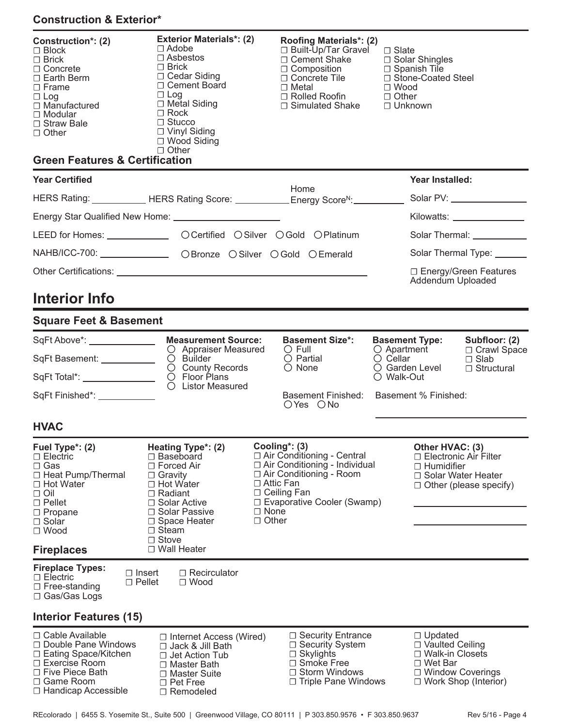## **Construction & Exterior\***

| Construction*: (2)<br>$\Box$ Block<br>$\Box$ Brick<br>$\Box$ Concrete<br>$\Box$ Earth Berm<br>$\Box$ Frame<br>$\Box$ Log<br>$\Box$ Manufactured<br>$\Box$ Modular<br>$\Box$ Straw Bale<br>$\Box$ Other | <b>Exterior Materials*: (2)</b><br>$\Box$ Adobe<br>$\Box$ Asbestos<br>$\Box$ Brick<br>$\Box$ Cedar Siding<br>$\Box$ Cement Board<br>$\Box$ Log<br>$\Box$ Metal Siding<br>$\Box$ Rock<br>$\Box$ Stucco<br>$\Box$ Vinyl Siding<br>□ Wood Siding<br>$\Box$ Other |                                                 | <b>Roofing Materials*: (2)</b><br>□ Built-Up/Tar Gravel<br>□ Cement Shake<br>$\Box$ Composition<br>□ Concrete Tile<br>$\Box$ Metal<br>□ Rolled Roofin<br>$\Box$ Simulated Shake | $\Box$ Slate<br>□ Wood<br>$\Box$ Other<br>□ Unknown | $\Box$ Solar Shingles<br>□ Spanish Tile<br>□ Stone-Coated Steel                                       |                                                                                                                                                                                                                                      |
|--------------------------------------------------------------------------------------------------------------------------------------------------------------------------------------------------------|---------------------------------------------------------------------------------------------------------------------------------------------------------------------------------------------------------------------------------------------------------------|-------------------------------------------------|---------------------------------------------------------------------------------------------------------------------------------------------------------------------------------|-----------------------------------------------------|-------------------------------------------------------------------------------------------------------|--------------------------------------------------------------------------------------------------------------------------------------------------------------------------------------------------------------------------------------|
| <b>Green Features &amp; Certification</b>                                                                                                                                                              |                                                                                                                                                                                                                                                               |                                                 |                                                                                                                                                                                 |                                                     |                                                                                                       |                                                                                                                                                                                                                                      |
| <b>Year Certified</b>                                                                                                                                                                                  |                                                                                                                                                                                                                                                               |                                                 | Home                                                                                                                                                                            |                                                     | Year Installed:                                                                                       |                                                                                                                                                                                                                                      |
| HERS Rating: ____________HERS Rating Score: ___________Energy Score <sup>N</sup> : __________                                                                                                          |                                                                                                                                                                                                                                                               |                                                 |                                                                                                                                                                                 |                                                     |                                                                                                       | Solar PV: ___________________                                                                                                                                                                                                        |
|                                                                                                                                                                                                        |                                                                                                                                                                                                                                                               |                                                 |                                                                                                                                                                                 |                                                     |                                                                                                       | Kilowatts: ________________                                                                                                                                                                                                          |
| LEED for Homes: ___________________ OCertified OSilver OGold OPlatinum                                                                                                                                 |                                                                                                                                                                                                                                                               |                                                 |                                                                                                                                                                                 |                                                     |                                                                                                       | Solar Thermal: <b>Contract Contract Contract Contract Contract Contract Contract Contract Contract Contract Contract Contract Contract Contract Contract Contract Contract Contract Contract Contract Contract Contract Contract</b> |
| NAHB/ICC-700: ________________ OBronze OSilver OGold OEmerald                                                                                                                                          |                                                                                                                                                                                                                                                               |                                                 |                                                                                                                                                                                 |                                                     |                                                                                                       | Solar Thermal Type: ______                                                                                                                                                                                                           |
|                                                                                                                                                                                                        |                                                                                                                                                                                                                                                               |                                                 |                                                                                                                                                                                 |                                                     | Addendum Uploaded                                                                                     | □ Energy/Green Features                                                                                                                                                                                                              |
| <b>Interior Info</b>                                                                                                                                                                                   |                                                                                                                                                                                                                                                               |                                                 |                                                                                                                                                                                 |                                                     |                                                                                                       |                                                                                                                                                                                                                                      |
| <b>Square Feet &amp; Basement</b>                                                                                                                                                                      |                                                                                                                                                                                                                                                               |                                                 |                                                                                                                                                                                 |                                                     |                                                                                                       |                                                                                                                                                                                                                                      |
| SqFt Above*: _______________                                                                                                                                                                           | <b>Measurement Source:</b>                                                                                                                                                                                                                                    |                                                 | <b>Basement Size*:</b><br>$\circ$ Full                                                                                                                                          | <b>Basement Type:</b>                               | $\bigcirc$ Apartment                                                                                  | Subfloor: (2)<br>□ Crawl Space                                                                                                                                                                                                       |
| SqFt Basement: ___________                                                                                                                                                                             | O Appraiser Measured<br>$\bigcirc$ Builder                                                                                                                                                                                                                    |                                                 | $\bigcirc$ Partial<br>$\bigcirc$ None                                                                                                                                           | $\bigcirc$ Cellar<br>○ Garden Level                 |                                                                                                       | $\Box$ Slab<br>$\Box$ Structural                                                                                                                                                                                                     |
| SqFt Total*: ________________                                                                                                                                                                          | $\circ$ County Records<br>O Floor Plans<br>O Listor Measured                                                                                                                                                                                                  |                                                 |                                                                                                                                                                                 |                                                     | ○ Walk-Out                                                                                            |                                                                                                                                                                                                                                      |
| SqFt Finished*: ____________                                                                                                                                                                           |                                                                                                                                                                                                                                                               |                                                 | Basement Finished:<br>OYes ONo                                                                                                                                                  |                                                     | Basement % Finished:                                                                                  |                                                                                                                                                                                                                                      |
| <b>HVAC</b>                                                                                                                                                                                            |                                                                                                                                                                                                                                                               |                                                 |                                                                                                                                                                                 |                                                     |                                                                                                       |                                                                                                                                                                                                                                      |
| Fuel Type*: (2)<br>$\Box$ Electric<br>$\Box$ Gas<br>$\Box$ Heat Pump/Thermal<br>□ Hot Water<br>$\Box$ Oil<br>$\Box$ Pellet<br>$\Box$ Propane<br>□ Solar<br>$\Box$ Wood<br><b>Fireplaces</b>            | Heating Type*: (2)<br>□ Baseboard<br>$\Box$ Forced Air<br>$\Box$ Gravity<br>$\Box$ Hot Water<br>$\Box$ Radiant<br>□ Solar Active<br>□ Solar Passive<br>$\Box$ Space Heater<br>$\Box$ Steam<br>$\Box$ Stove<br>□ Wall Heater                                   | $\Box$ Attic Fan<br>$\Box$ None<br>$\Box$ Other | Cooling*: (3)<br>□ Air Conditioning - Central<br>□ Air Conditioning - Individual<br>□ Air Conditioning - Room<br>$\Box$ Ceiling Fan<br>□ Evaporative Cooler (Swamp)             |                                                     | Other HVAC: (3)<br>□ Electronic Air Filter<br>$\Box$ Humidifier                                       | $\Box$ Solar Water Heater<br>$\Box$ Other (please specify)                                                                                                                                                                           |
| <b>Fireplace Types:</b><br>$\Box$ Insert<br>$\Box$ Electric<br>$\Box$ Pellet<br>$\Box$ Free-standing<br>□ Gas/Gas Logs<br>Interior Features (15)                                                       | $\Box$ Recirculator<br>$\Box$ Wood                                                                                                                                                                                                                            |                                                 |                                                                                                                                                                                 |                                                     |                                                                                                       |                                                                                                                                                                                                                                      |
| □ Cable Available                                                                                                                                                                                      |                                                                                                                                                                                                                                                               |                                                 |                                                                                                                                                                                 |                                                     |                                                                                                       |                                                                                                                                                                                                                                      |
| $\Box$ Double Pane Windows<br>□ Eating Space/Kitchen<br>$\Box$ Exercise Room<br>$\Box$ Five Piece Bath<br>□ Game Room<br>$\Box$ Handicap Accessible                                                    | $\Box$ Internet Access (Wired)<br>$\Box$ Jack & Jill Bath<br>$\Box$ Jet Action Tub<br>$\Box$ Master Bath<br>□ Master Suite<br>$\Box$ Pet Free<br>□ Remodeled                                                                                                  |                                                 | $\Box$ Security Entrance<br>$\Box$ Security System<br>$\Box$ Skylights<br>$\Box$ Smoke Free<br>$\Box$ Storm Windows<br>$\Box$ Triple Pane Windows                               |                                                     | $\Box$ Updated<br>□ Vaulted Ceiling<br>$\Box$ Walk-in Closets<br>$\Box$ Wet Bar<br>□ Window Coverings | □ Work Shop (Interior)                                                                                                                                                                                                               |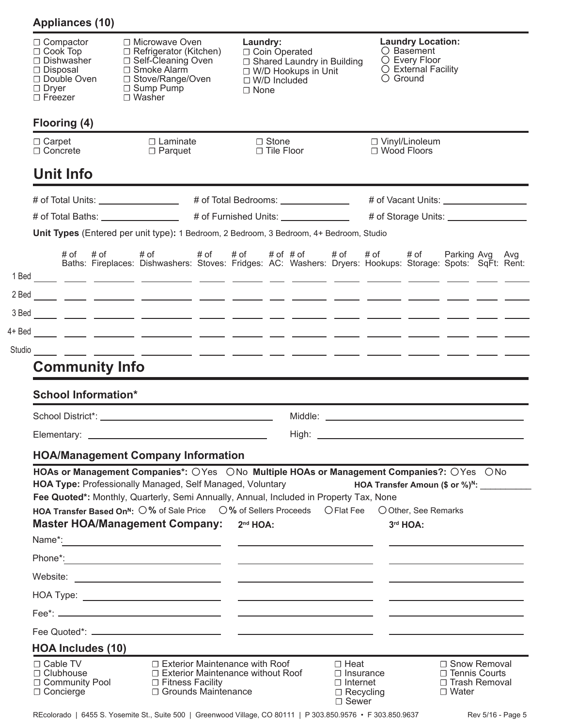| $\Box$ Compactor<br>$\Box$ Cook Top<br>$\Box$ Dishwasher<br>$\Box$ Disposal<br>□ Double Oven<br>□ Dryer<br>□ Freezer | $\Box$ Smoke Alarm<br>□ Sump Pump<br>□ Washer                                                                                                                                                                                                                                                                                                                                                                            | □ Microwave Oven<br>Laundry:<br>□ Refrigerator (Kitchen)<br>□ Coin Operated<br>□ Self-Cleaning Oven<br>□ Shared Laundry in Building<br>□ W/D Hookups in Unit<br>□ Stove/Range/Oven<br>$\Box$ W/D Included<br>$\Box$ None |  |                         | <b>Laundry Location:</b><br>$\bigcirc$ Basement<br>O Every Floor<br>O External Facility<br>$\bigcirc$ Ground |                            |  |                                        |                                                                                                                                                                                                                                      |  |
|----------------------------------------------------------------------------------------------------------------------|--------------------------------------------------------------------------------------------------------------------------------------------------------------------------------------------------------------------------------------------------------------------------------------------------------------------------------------------------------------------------------------------------------------------------|--------------------------------------------------------------------------------------------------------------------------------------------------------------------------------------------------------------------------|--|-------------------------|--------------------------------------------------------------------------------------------------------------|----------------------------|--|----------------------------------------|--------------------------------------------------------------------------------------------------------------------------------------------------------------------------------------------------------------------------------------|--|
| Flooring (4)                                                                                                         |                                                                                                                                                                                                                                                                                                                                                                                                                          |                                                                                                                                                                                                                          |  |                         |                                                                                                              |                            |  |                                        |                                                                                                                                                                                                                                      |  |
| $\Box$ Carpet<br>$\Box$ Concrete                                                                                     | $\Box$ Laminate<br>$\Box$ Parquet                                                                                                                                                                                                                                                                                                                                                                                        |                                                                                                                                                                                                                          |  | □ Stone<br>□ Tile Floor |                                                                                                              |                            |  | □ Vinyl/Linoleum<br>$\Box$ Wood Floors |                                                                                                                                                                                                                                      |  |
| <b>Unit Info</b>                                                                                                     |                                                                                                                                                                                                                                                                                                                                                                                                                          |                                                                                                                                                                                                                          |  |                         |                                                                                                              |                            |  |                                        |                                                                                                                                                                                                                                      |  |
|                                                                                                                      | # of Total Units: __________________                                                                                                                                                                                                                                                                                                                                                                                     |                                                                                                                                                                                                                          |  |                         | # of Total Bedrooms: ________________                                                                        |                            |  |                                        |                                                                                                                                                                                                                                      |  |
|                                                                                                                      |                                                                                                                                                                                                                                                                                                                                                                                                                          |                                                                                                                                                                                                                          |  |                         | # of Furnished Units: ________________                                                                       |                            |  |                                        | # of Storage Units: _________________                                                                                                                                                                                                |  |
|                                                                                                                      | Unit Types (Entered per unit type): 1 Bedroom, 2 Bedroom, 3 Bedroom, 4+ Bedroom, Studio                                                                                                                                                                                                                                                                                                                                  |                                                                                                                                                                                                                          |  |                         |                                                                                                              |                            |  |                                        |                                                                                                                                                                                                                                      |  |
|                                                                                                                      | Baths: Fireplaces: Dishwashers: Stoves: Fridges: AC: Washers: Dryers: Hookups: Storage: Spots: SqFt: Rent:                                                                                                                                                                                                                                                                                                               |                                                                                                                                                                                                                          |  |                         |                                                                                                              |                            |  |                                        |                                                                                                                                                                                                                                      |  |
|                                                                                                                      |                                                                                                                                                                                                                                                                                                                                                                                                                          |                                                                                                                                                                                                                          |  |                         |                                                                                                              |                            |  |                                        |                                                                                                                                                                                                                                      |  |
|                                                                                                                      |                                                                                                                                                                                                                                                                                                                                                                                                                          |                                                                                                                                                                                                                          |  |                         |                                                                                                              |                            |  |                                        |                                                                                                                                                                                                                                      |  |
|                                                                                                                      |                                                                                                                                                                                                                                                                                                                                                                                                                          |                                                                                                                                                                                                                          |  |                         |                                                                                                              |                            |  |                                        |                                                                                                                                                                                                                                      |  |
|                                                                                                                      |                                                                                                                                                                                                                                                                                                                                                                                                                          |                                                                                                                                                                                                                          |  |                         |                                                                                                              |                            |  |                                        |                                                                                                                                                                                                                                      |  |
|                                                                                                                      |                                                                                                                                                                                                                                                                                                                                                                                                                          |                                                                                                                                                                                                                          |  |                         |                                                                                                              |                            |  |                                        |                                                                                                                                                                                                                                      |  |
| <b>Community Info</b>                                                                                                |                                                                                                                                                                                                                                                                                                                                                                                                                          |                                                                                                                                                                                                                          |  |                         |                                                                                                              |                            |  |                                        |                                                                                                                                                                                                                                      |  |
| <b>School Information*</b>                                                                                           |                                                                                                                                                                                                                                                                                                                                                                                                                          |                                                                                                                                                                                                                          |  |                         |                                                                                                              |                            |  |                                        |                                                                                                                                                                                                                                      |  |
|                                                                                                                      |                                                                                                                                                                                                                                                                                                                                                                                                                          |                                                                                                                                                                                                                          |  |                         |                                                                                                              |                            |  |                                        | Middle: <u>Alexander and the second contract of the second contract of the second contract of the second contract of the second contract of the second contract of the second contract of the second contract of the second cont</u> |  |
|                                                                                                                      |                                                                                                                                                                                                                                                                                                                                                                                                                          |                                                                                                                                                                                                                          |  |                         |                                                                                                              |                            |  |                                        |                                                                                                                                                                                                                                      |  |
|                                                                                                                      | <b>HOA/Management Company Information</b>                                                                                                                                                                                                                                                                                                                                                                                |                                                                                                                                                                                                                          |  |                         |                                                                                                              |                            |  |                                        |                                                                                                                                                                                                                                      |  |
|                                                                                                                      | HOAs or Management Companies*: OYes  ONo Multiple HOAs or Management Companies?: OYes  ONo<br>HOA Type: Professionally Managed, Self Managed, Voluntary<br>Fee Quoted*: Monthly, Quarterly, Semi Annually, Annual, Included in Property Tax, None<br>HOA Transfer Based On <sup>N</sup> : 0% of Sale Price 0% of Sellers Proceeds O Flat Fee 0 Other, See Remarks<br>Master HOA/Management Company: 2 <sup>nd</sup> HOA: |                                                                                                                                                                                                                          |  |                         |                                                                                                              |                            |  | 3rd HOA:                               | HOA Transfer Amoun (\$ or %) <sup>N</sup> : ___________                                                                                                                                                                              |  |
|                                                                                                                      |                                                                                                                                                                                                                                                                                                                                                                                                                          |                                                                                                                                                                                                                          |  |                         |                                                                                                              |                            |  |                                        |                                                                                                                                                                                                                                      |  |
|                                                                                                                      |                                                                                                                                                                                                                                                                                                                                                                                                                          |                                                                                                                                                                                                                          |  |                         |                                                                                                              |                            |  |                                        |                                                                                                                                                                                                                                      |  |
|                                                                                                                      |                                                                                                                                                                                                                                                                                                                                                                                                                          |                                                                                                                                                                                                                          |  |                         |                                                                                                              |                            |  |                                        |                                                                                                                                                                                                                                      |  |
|                                                                                                                      |                                                                                                                                                                                                                                                                                                                                                                                                                          |                                                                                                                                                                                                                          |  |                         |                                                                                                              |                            |  |                                        |                                                                                                                                                                                                                                      |  |
|                                                                                                                      |                                                                                                                                                                                                                                                                                                                                                                                                                          |                                                                                                                                                                                                                          |  |                         |                                                                                                              |                            |  |                                        |                                                                                                                                                                                                                                      |  |
| <b>HOA Includes (10)</b>                                                                                             |                                                                                                                                                                                                                                                                                                                                                                                                                          |                                                                                                                                                                                                                          |  |                         |                                                                                                              |                            |  |                                        |                                                                                                                                                                                                                                      |  |
| $\Box$ Cable TV<br>$\Box$ Clubhouse<br>□ Community Pool                                                              | $\Box$ Exterior Maintenance with Roof<br>$\Box$ Exterior Maintenance without Roof<br>$\Box$ Fitness Facility                                                                                                                                                                                                                                                                                                             |                                                                                                                                                                                                                          |  |                         |                                                                                                              | □ Heat<br>$\Box$ Insurance |  |                                        | □ Snow Removal<br>$\Box$ Tennis Courts                                                                                                                                                                                               |  |